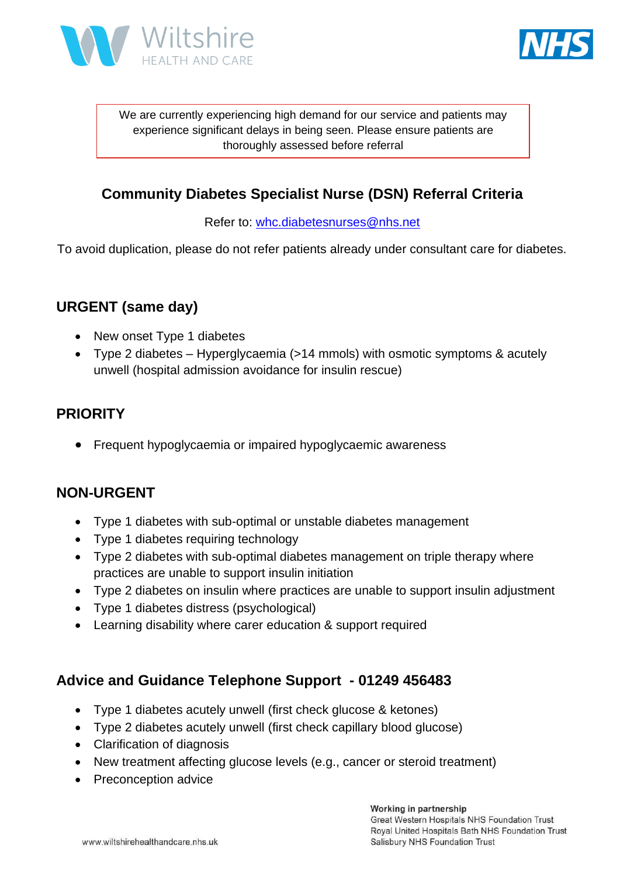



We are currently experiencing high demand for our service and patients may experience significant delays in being seen. Please ensure patients are thoroughly assessed before referral

### **Community Diabetes Specialist Nurse (DSN) Referral Criteria**

Refer to: [whc.diabetesnurses@nhs.net](mailto:whc.diabetesnurses@nhs.net)

To avoid duplication, please do not refer patients already under consultant care for diabetes.

# **URGENT (same day)**

- New onset Type 1 diabetes
- Type 2 diabetes Hyperglycaemia (>14 mmols) with osmotic symptoms & acutely unwell (hospital admission avoidance for insulin rescue)

# **PRIORITY**

• Frequent hypoglycaemia or impaired hypoglycaemic awareness

#### **NON-URGENT**

- Type 1 diabetes with sub-optimal or unstable diabetes management
- Type 1 diabetes requiring technology
- Type 2 diabetes with sub-optimal diabetes management on triple therapy where practices are unable to support insulin initiation
- Type 2 diabetes on insulin where practices are unable to support insulin adjustment
- Type 1 diabetes distress (psychological)
- Learning disability where carer education & support required

#### **Advice and Guidance Telephone Support - 01249 456483**

- Type 1 diabetes acutely unwell (first check glucose & ketones)
- Type 2 diabetes acutely unwell (first check capillary blood glucose)
- Clarification of diagnosis
- New treatment affecting glucose levels (e.g., cancer or steroid treatment)
- Preconception advice